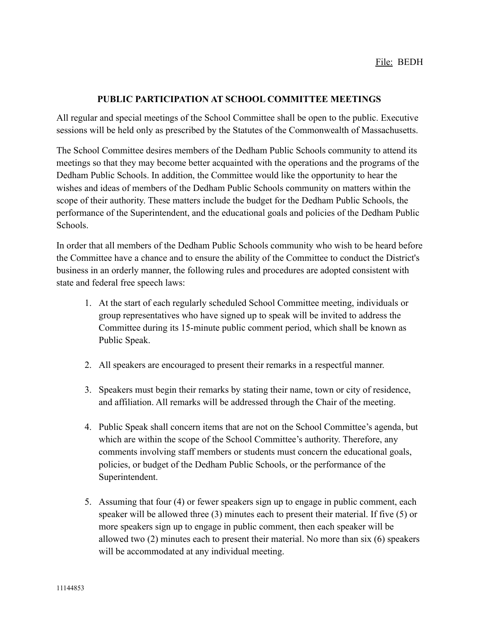## **PUBLIC PARTICIPATION AT SCHOOL COMMITTEE MEETINGS**

All regular and special meetings of the School Committee shall be open to the public. Executive sessions will be held only as prescribed by the Statutes of the Commonwealth of Massachusetts.

The School Committee desires members of the Dedham Public Schools community to attend its meetings so that they may become better acquainted with the operations and the programs of the Dedham Public Schools. In addition, the Committee would like the opportunity to hear the wishes and ideas of members of the Dedham Public Schools community on matters within the scope of their authority. These matters include the budget for the Dedham Public Schools, the performance of the Superintendent, and the educational goals and policies of the Dedham Public Schools.

In order that all members of the Dedham Public Schools community who wish to be heard before the Committee have a chance and to ensure the ability of the Committee to conduct the District's business in an orderly manner, the following rules and procedures are adopted consistent with state and federal free speech laws:

- 1. At the start of each regularly scheduled School Committee meeting, individuals or group representatives who have signed up to speak will be invited to address the Committee during its 15-minute public comment period, which shall be known as Public Speak.
- 2. All speakers are encouraged to present their remarks in a respectful manner.
- 3. Speakers must begin their remarks by stating their name, town or city of residence, and affiliation. All remarks will be addressed through the Chair of the meeting.
- 4. Public Speak shall concern items that are not on the School Committee's agenda, but which are within the scope of the School Committee's authority. Therefore, any comments involving staff members or students must concern the educational goals, policies, or budget of the Dedham Public Schools, or the performance of the Superintendent.
- 5. Assuming that four (4) or fewer speakers sign up to engage in public comment, each speaker will be allowed three (3) minutes each to present their material. If five (5) or more speakers sign up to engage in public comment, then each speaker will be allowed two (2) minutes each to present their material. No more than six (6) speakers will be accommodated at any individual meeting.